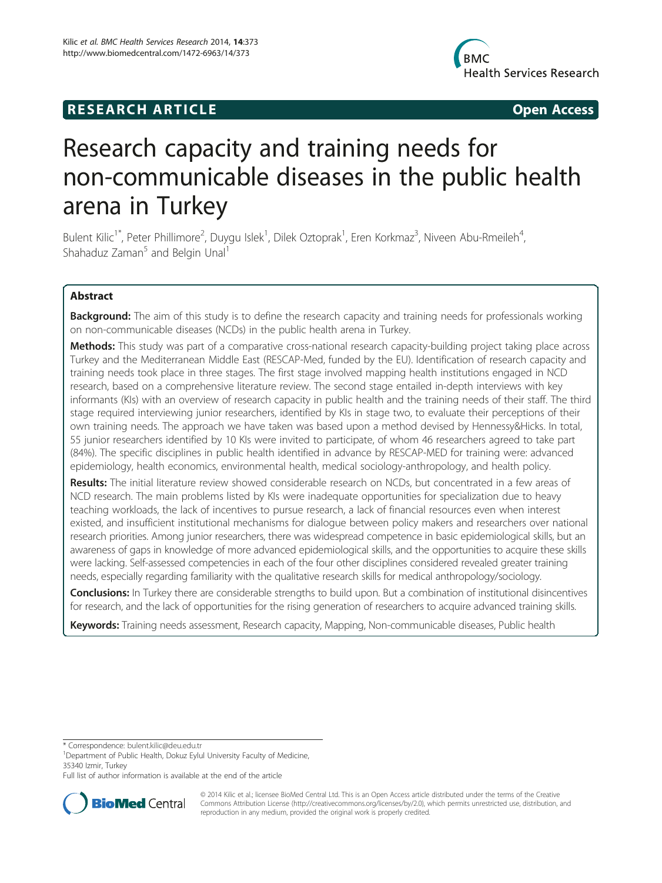



# Research capacity and training needs for non-communicable diseases in the public health arena in Turkey

Bulent Kilic<sup>1\*</sup>, Peter Phillimore<sup>2</sup>, Duygu Islek<sup>1</sup>, Dilek Oztoprak<sup>1</sup>, Eren Korkmaz<sup>3</sup>, Niveen Abu-Rmeileh<sup>4</sup> , Shahaduz Zaman $<sup>5</sup>$  and Belgin Unal<sup>1</sup></sup>

# Abstract

**Background:** The aim of this study is to define the research capacity and training needs for professionals working on non-communicable diseases (NCDs) in the public health arena in Turkey.

Methods: This study was part of a comparative cross-national research capacity-building project taking place across Turkey and the Mediterranean Middle East (RESCAP-Med, funded by the EU). Identification of research capacity and training needs took place in three stages. The first stage involved mapping health institutions engaged in NCD research, based on a comprehensive literature review. The second stage entailed in-depth interviews with key informants (KIs) with an overview of research capacity in public health and the training needs of their staff. The third stage required interviewing junior researchers, identified by KIs in stage two, to evaluate their perceptions of their own training needs. The approach we have taken was based upon a method devised by Hennessy&Hicks. In total, 55 junior researchers identified by 10 KIs were invited to participate, of whom 46 researchers agreed to take part (84%). The specific disciplines in public health identified in advance by RESCAP-MED for training were: advanced epidemiology, health economics, environmental health, medical sociology-anthropology, and health policy.

Results: The initial literature review showed considerable research on NCDs, but concentrated in a few areas of NCD research. The main problems listed by KIs were inadequate opportunities for specialization due to heavy teaching workloads, the lack of incentives to pursue research, a lack of financial resources even when interest existed, and insufficient institutional mechanisms for dialogue between policy makers and researchers over national research priorities. Among junior researchers, there was widespread competence in basic epidemiological skills, but an awareness of gaps in knowledge of more advanced epidemiological skills, and the opportunities to acquire these skills were lacking. Self-assessed competencies in each of the four other disciplines considered revealed greater training needs, especially regarding familiarity with the qualitative research skills for medical anthropology/sociology.

Conclusions: In Turkey there are considerable strengths to build upon. But a combination of institutional disincentives for research, and the lack of opportunities for the rising generation of researchers to acquire advanced training skills.

Keywords: Training needs assessment, Research capacity, Mapping, Non-communicable diseases, Public health

\* Correspondence: [bulent.kilic@deu.edu.tr](mailto:bulent.kilic@deu.edu.tr) <sup>1</sup>

<sup>1</sup>Department of Public Health, Dokuz Eylul University Faculty of Medicine, 35340 Izmir, Turkey

Full list of author information is available at the end of the article



© 2014 Kilic et al.; licensee BioMed Central Ltd. This is an Open Access article distributed under the terms of the Creative Commons Attribution License [\(http://creativecommons.org/licenses/by/2.0\)](http://creativecommons.org/licenses/by/2.0), which permits unrestricted use, distribution, and reproduction in any medium, provided the original work is properly credited.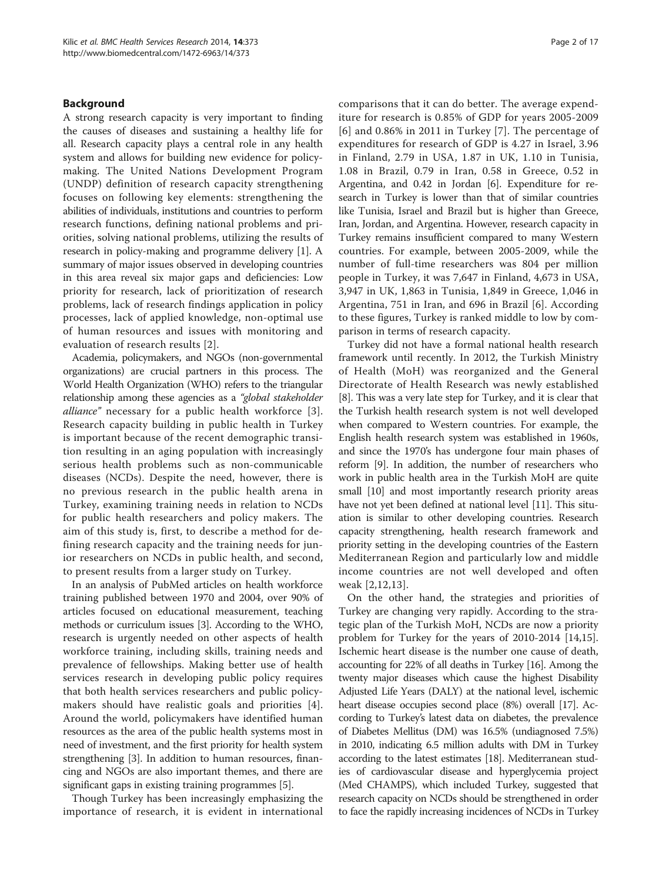## Background

A strong research capacity is very important to finding the causes of diseases and sustaining a healthy life for all. Research capacity plays a central role in any health system and allows for building new evidence for policymaking. The United Nations Development Program (UNDP) definition of research capacity strengthening focuses on following key elements: strengthening the abilities of individuals, institutions and countries to perform research functions, defining national problems and priorities, solving national problems, utilizing the results of research in policy-making and programme delivery [\[1](#page-15-0)]. A summary of major issues observed in developing countries in this area reveal six major gaps and deficiencies: Low priority for research, lack of prioritization of research problems, lack of research findings application in policy processes, lack of applied knowledge, non-optimal use of human resources and issues with monitoring and evaluation of research results [[2\]](#page-15-0).

Academia, policymakers, and NGOs (non-governmental organizations) are crucial partners in this process. The World Health Organization (WHO) refers to the triangular relationship among these agencies as a "global stakeholder alliance" necessary for a public health workforce [[3](#page-15-0)]. Research capacity building in public health in Turkey is important because of the recent demographic transition resulting in an aging population with increasingly serious health problems such as non-communicable diseases (NCDs). Despite the need, however, there is no previous research in the public health arena in Turkey, examining training needs in relation to NCDs for public health researchers and policy makers. The aim of this study is, first, to describe a method for defining research capacity and the training needs for junior researchers on NCDs in public health, and second, to present results from a larger study on Turkey.

In an analysis of PubMed articles on health workforce training published between 1970 and 2004, over 90% of articles focused on educational measurement, teaching methods or curriculum issues [[3](#page-15-0)]. According to the WHO, research is urgently needed on other aspects of health workforce training, including skills, training needs and prevalence of fellowships. Making better use of health services research in developing public policy requires that both health services researchers and public policymakers should have realistic goals and priorities [\[4](#page-15-0)]. Around the world, policymakers have identified human resources as the area of the public health systems most in need of investment, and the first priority for health system strengthening [\[3](#page-15-0)]. In addition to human resources, financing and NGOs are also important themes, and there are significant gaps in existing training programmes [\[5](#page-15-0)].

Though Turkey has been increasingly emphasizing the importance of research, it is evident in international

comparisons that it can do better. The average expenditure for research is 0.85% of GDP for years 2005-2009 [[6](#page-15-0)] and 0.86% in 2011 in Turkey [[7](#page-15-0)]. The percentage of expenditures for research of GDP is 4.27 in Israel, 3.96 in Finland, 2.79 in USA, 1.87 in UK, 1.10 in Tunisia, 1.08 in Brazil, 0.79 in Iran, 0.58 in Greece, 0.52 in Argentina, and 0.42 in Jordan [\[6](#page-15-0)]. Expenditure for research in Turkey is lower than that of similar countries like Tunisia, Israel and Brazil but is higher than Greece, Iran, Jordan, and Argentina. However, research capacity in Turkey remains insufficient compared to many Western countries. For example, between 2005-2009, while the number of full-time researchers was 804 per million people in Turkey, it was 7,647 in Finland, 4,673 in USA, 3,947 in UK, 1,863 in Tunisia, 1,849 in Greece, 1,046 in Argentina, 751 in Iran, and 696 in Brazil [[6\]](#page-15-0). According to these figures, Turkey is ranked middle to low by comparison in terms of research capacity.

Turkey did not have a formal national health research framework until recently. In 2012, the Turkish Ministry of Health (MoH) was reorganized and the General Directorate of Health Research was newly established [[8\]](#page-15-0). This was a very late step for Turkey, and it is clear that the Turkish health research system is not well developed when compared to Western countries. For example, the English health research system was established in 1960s, and since the 1970's has undergone four main phases of reform [[9](#page-15-0)]. In addition, the number of researchers who work in public health area in the Turkish MoH are quite small [\[10](#page-15-0)] and most importantly research priority areas have not yet been defined at national level [[11](#page-15-0)]. This situation is similar to other developing countries. Research capacity strengthening, health research framework and priority setting in the developing countries of the Eastern Mediterranean Region and particularly low and middle income countries are not well developed and often weak [[2,12,13](#page-15-0)].

On the other hand, the strategies and priorities of Turkey are changing very rapidly. According to the strategic plan of the Turkish MoH, NCDs are now a priority problem for Turkey for the years of 2010-2014 [\[14,15](#page-15-0)]. Ischemic heart disease is the number one cause of death, accounting for 22% of all deaths in Turkey [\[16](#page-15-0)]. Among the twenty major diseases which cause the highest Disability Adjusted Life Years (DALY) at the national level, ischemic heart disease occupies second place (8%) overall [\[17](#page-15-0)]. According to Turkey's latest data on diabetes, the prevalence of Diabetes Mellitus (DM) was 16.5% (undiagnosed 7.5%) in 2010, indicating 6.5 million adults with DM in Turkey according to the latest estimates [\[18\]](#page-15-0). Mediterranean studies of cardiovascular disease and hyperglycemia project (Med CHAMPS), which included Turkey, suggested that research capacity on NCDs should be strengthened in order to face the rapidly increasing incidences of NCDs in Turkey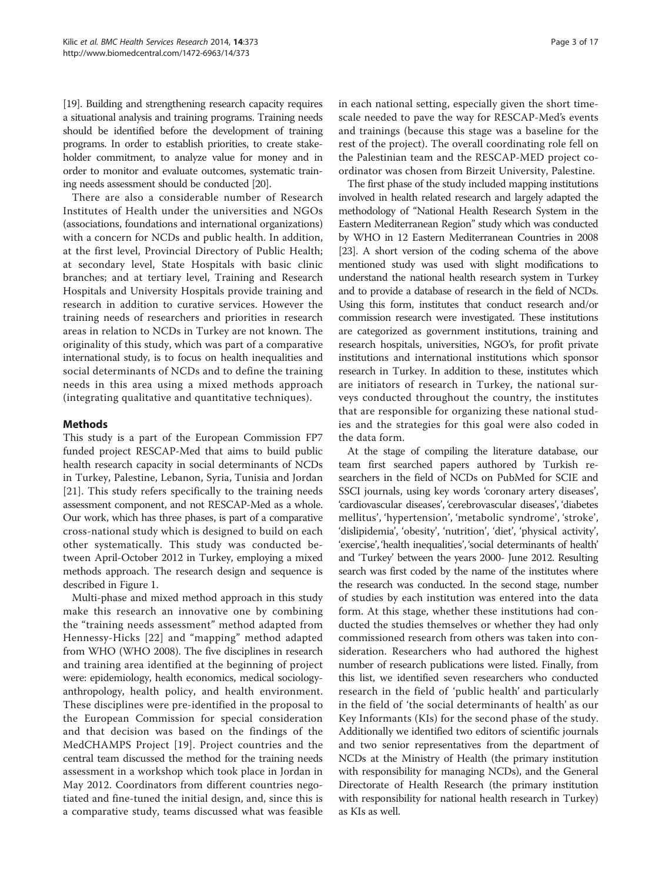[[19](#page-15-0)]. Building and strengthening research capacity requires a situational analysis and training programs. Training needs should be identified before the development of training programs. In order to establish priorities, to create stakeholder commitment, to analyze value for money and in order to monitor and evaluate outcomes, systematic training needs assessment should be conducted [[20](#page-15-0)].

There are also a considerable number of Research Institutes of Health under the universities and NGOs (associations, foundations and international organizations) with a concern for NCDs and public health. In addition, at the first level, Provincial Directory of Public Health; at secondary level, State Hospitals with basic clinic branches; and at tertiary level, Training and Research Hospitals and University Hospitals provide training and research in addition to curative services. However the training needs of researchers and priorities in research areas in relation to NCDs in Turkey are not known. The originality of this study, which was part of a comparative international study, is to focus on health inequalities and social determinants of NCDs and to define the training needs in this area using a mixed methods approach (integrating qualitative and quantitative techniques).

# Methods

This study is a part of the European Commission FP7 funded project RESCAP-Med that aims to build public health research capacity in social determinants of NCDs in Turkey, Palestine, Lebanon, Syria, Tunisia and Jordan [[21\]](#page-15-0). This study refers specifically to the training needs assessment component, and not RESCAP-Med as a whole. Our work, which has three phases, is part of a comparative cross-national study which is designed to build on each other systematically. This study was conducted between April-October 2012 in Turkey, employing a mixed methods approach. The research design and sequence is described in Figure [1](#page-3-0).

Multi-phase and mixed method approach in this study make this research an innovative one by combining the "training needs assessment" method adapted from Hennessy-Hicks [[22\]](#page-15-0) and "mapping" method adapted from WHO (WHO 2008). The five disciplines in research and training area identified at the beginning of project were: epidemiology, health economics, medical sociologyanthropology, health policy, and health environment. These disciplines were pre-identified in the proposal to the European Commission for special consideration and that decision was based on the findings of the MedCHAMPS Project [[19](#page-15-0)]. Project countries and the central team discussed the method for the training needs assessment in a workshop which took place in Jordan in May 2012. Coordinators from different countries negotiated and fine-tuned the initial design, and, since this is a comparative study, teams discussed what was feasible in each national setting, especially given the short timescale needed to pave the way for RESCAP-Med's events and trainings (because this stage was a baseline for the rest of the project). The overall coordinating role fell on the Palestinian team and the RESCAP-MED project coordinator was chosen from Birzeit University, Palestine.

The first phase of the study included mapping institutions involved in health related research and largely adapted the methodology of "National Health Research System in the Eastern Mediterranean Region" study which was conducted by WHO in 12 Eastern Mediterranean Countries in 2008 [[23](#page-15-0)]. A short version of the coding schema of the above mentioned study was used with slight modifications to understand the national health research system in Turkey and to provide a database of research in the field of NCDs. Using this form, institutes that conduct research and/or commission research were investigated. These institutions are categorized as government institutions, training and research hospitals, universities, NGO's, for profit private institutions and international institutions which sponsor research in Turkey. In addition to these, institutes which are initiators of research in Turkey, the national surveys conducted throughout the country, the institutes that are responsible for organizing these national studies and the strategies for this goal were also coded in the data form.

At the stage of compiling the literature database, our team first searched papers authored by Turkish researchers in the field of NCDs on PubMed for SCIE and SSCI journals, using key words 'coronary artery diseases', 'cardiovascular diseases', 'cerebrovascular diseases', 'diabetes mellitus', 'hypertension', 'metabolic syndrome', 'stroke', 'dislipidemia', 'obesity', 'nutrition', 'diet', 'physical activity', 'exercise', 'health inequalities', 'social determinants of health' and 'Turkey' between the years 2000- June 2012. Resulting search was first coded by the name of the institutes where the research was conducted. In the second stage, number of studies by each institution was entered into the data form. At this stage, whether these institutions had conducted the studies themselves or whether they had only commissioned research from others was taken into consideration. Researchers who had authored the highest number of research publications were listed. Finally, from this list, we identified seven researchers who conducted research in the field of 'public health' and particularly in the field of 'the social determinants of health' as our Key Informants (KIs) for the second phase of the study. Additionally we identified two editors of scientific journals and two senior representatives from the department of NCDs at the Ministry of Health (the primary institution with responsibility for managing NCDs), and the General Directorate of Health Research (the primary institution with responsibility for national health research in Turkey) as KIs as well.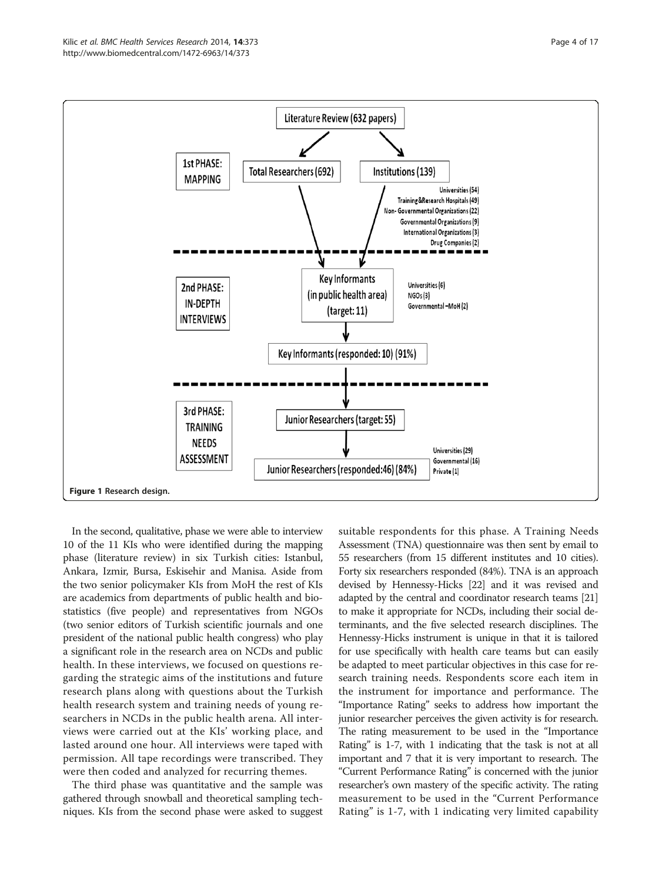<span id="page-3-0"></span>

In the second, qualitative, phase we were able to interview 10 of the 11 KIs who were identified during the mapping phase (literature review) in six Turkish cities: Istanbul, Ankara, Izmir, Bursa, Eskisehir and Manisa. Aside from the two senior policymaker KIs from MoH the rest of KIs are academics from departments of public health and biostatistics (five people) and representatives from NGOs (two senior editors of Turkish scientific journals and one president of the national public health congress) who play a significant role in the research area on NCDs and public health. In these interviews, we focused on questions regarding the strategic aims of the institutions and future research plans along with questions about the Turkish health research system and training needs of young researchers in NCDs in the public health arena. All interviews were carried out at the KIs' working place, and lasted around one hour. All interviews were taped with permission. All tape recordings were transcribed. They were then coded and analyzed for recurring themes.

The third phase was quantitative and the sample was gathered through snowball and theoretical sampling techniques. KIs from the second phase were asked to suggest suitable respondents for this phase. A Training Needs Assessment (TNA) questionnaire was then sent by email to 55 researchers (from 15 different institutes and 10 cities). Forty six researchers responded (84%). TNA is an approach devised by Hennessy-Hicks [\[22\]](#page-15-0) and it was revised and adapted by the central and coordinator research teams [\[21](#page-15-0)] to make it appropriate for NCDs, including their social determinants, and the five selected research disciplines. The Hennessy-Hicks instrument is unique in that it is tailored for use specifically with health care teams but can easily be adapted to meet particular objectives in this case for research training needs. Respondents score each item in the instrument for importance and performance. The "Importance Rating" seeks to address how important the junior researcher perceives the given activity is for research. The rating measurement to be used in the "Importance Rating" is 1-7, with 1 indicating that the task is not at all important and 7 that it is very important to research. The "Current Performance Rating" is concerned with the junior researcher's own mastery of the specific activity. The rating measurement to be used in the "Current Performance Rating" is 1-7, with 1 indicating very limited capability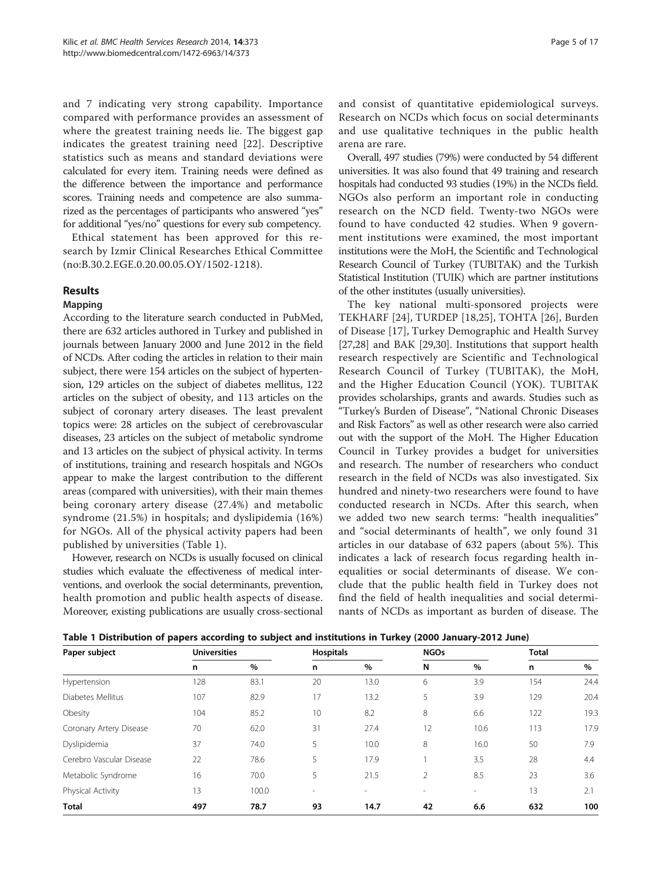and 7 indicating very strong capability. Importance compared with performance provides an assessment of where the greatest training needs lie. The biggest gap indicates the greatest training need [[22](#page-15-0)]. Descriptive statistics such as means and standard deviations were calculated for every item. Training needs were defined as the difference between the importance and performance scores. Training needs and competence are also summarized as the percentages of participants who answered "yes" for additional "yes/no" questions for every sub competency.

Ethical statement has been approved for this research by Izmir Clinical Researches Ethical Committee (no:B.30.2.EGE.0.20.00.05.OY/1502-1218).

## Results

#### Mapping

According to the literature search conducted in PubMed, there are 632 articles authored in Turkey and published in journals between January 2000 and June 2012 in the field of NCDs. After coding the articles in relation to their main subject, there were 154 articles on the subject of hypertension, 129 articles on the subject of diabetes mellitus, 122 articles on the subject of obesity, and 113 articles on the subject of coronary artery diseases. The least prevalent topics were: 28 articles on the subject of cerebrovascular diseases, 23 articles on the subject of metabolic syndrome and 13 articles on the subject of physical activity. In terms of institutions, training and research hospitals and NGOs appear to make the largest contribution to the different areas (compared with universities), with their main themes being coronary artery disease (27.4%) and metabolic syndrome (21.5%) in hospitals; and dyslipidemia (16%) for NGOs. All of the physical activity papers had been published by universities (Table 1).

However, research on NCDs is usually focused on clinical studies which evaluate the effectiveness of medical interventions, and overlook the social determinants, prevention, health promotion and public health aspects of disease. Moreover, existing publications are usually cross-sectional

Overall, 497 studies (79%) were conducted by 54 different universities. It was also found that 49 training and research hospitals had conducted 93 studies (19%) in the NCDs field. NGOs also perform an important role in conducting research on the NCD field. Twenty-two NGOs were found to have conducted 42 studies. When 9 government institutions were examined, the most important institutions were the MoH, the Scientific and Technological Research Council of Turkey (TUBITAK) and the Turkish Statistical Institution (TUIK) which are partner institutions of the other institutes (usually universities).

The key national multi-sponsored projects were TEKHARF [[24\]](#page-15-0), TURDEP [[18,25\]](#page-15-0), TOHTA [[26\]](#page-15-0), Burden of Disease [[17\]](#page-15-0), Turkey Demographic and Health Survey [[27](#page-15-0),[28](#page-15-0)] and BAK [\[29,30\]](#page-15-0). Institutions that support health research respectively are Scientific and Technological Research Council of Turkey (TUBITAK), the MoH, and the Higher Education Council (YOK). TUBITAK provides scholarships, grants and awards. Studies such as "Turkey's Burden of Disease", "National Chronic Diseases and Risk Factors" as well as other research were also carried out with the support of the MoH. The Higher Education Council in Turkey provides a budget for universities and research. The number of researchers who conduct research in the field of NCDs was also investigated. Six hundred and ninety-two researchers were found to have conducted research in NCDs. After this search, when we added two new search terms: "health inequalities" and "social determinants of health", we only found 31 articles in our database of 632 papers (about 5%). This indicates a lack of research focus regarding health inequalities or social determinants of disease. We conclude that the public health field in Turkey does not find the field of health inequalities and social determinants of NCDs as important as burden of disease. The

| Table 1 Distribution of papers according to subject and institutions in Turkey (2000 January-2012 June) |  |  |  |  |
|---------------------------------------------------------------------------------------------------------|--|--|--|--|
|---------------------------------------------------------------------------------------------------------|--|--|--|--|

| Paper subject            | <b>Universities</b> |       | <b>Hospitals</b> |      | <b>NGOs</b>    |                          | <b>Total</b> |      |
|--------------------------|---------------------|-------|------------------|------|----------------|--------------------------|--------------|------|
|                          | n                   | %     | n                | %    | N              | $\%$                     | n            | %    |
| Hypertension             | 128                 | 83.1  | 20               | 13.0 | 6              | 3.9                      | 154          | 24.4 |
| Diabetes Mellitus        | 107                 | 82.9  | 17               | 13.2 | 5              | 3.9                      | 129          | 20.4 |
| Obesity                  | 104                 | 85.2  | 10               | 8.2  | 8              | 6.6                      | 122          | 19.3 |
| Coronary Artery Disease  | 70                  | 62.0  | 31               | 27.4 | 12             | 10.6                     | 113          | 17.9 |
| Dyslipidemia             | 37                  | 74.0  | 5                | 10.0 | 8              | 16.0                     | 50           | 7.9  |
| Cerebro Vascular Disease | 22                  | 78.6  | 5                | 17.9 |                | 3.5                      | 28           | 4.4  |
| Metabolic Syndrome       | 16                  | 70.0  | 5                | 21.5 | $\overline{2}$ | 8.5                      | 23           | 3.6  |
| Physical Activity        | 13                  | 100.0 |                  | ۰    | ٠              | $\overline{\phantom{0}}$ | 13           | 2.1  |
| <b>Total</b>             | 497                 | 78.7  | 93               | 14.7 | 42             | 6.6                      | 632          | 100  |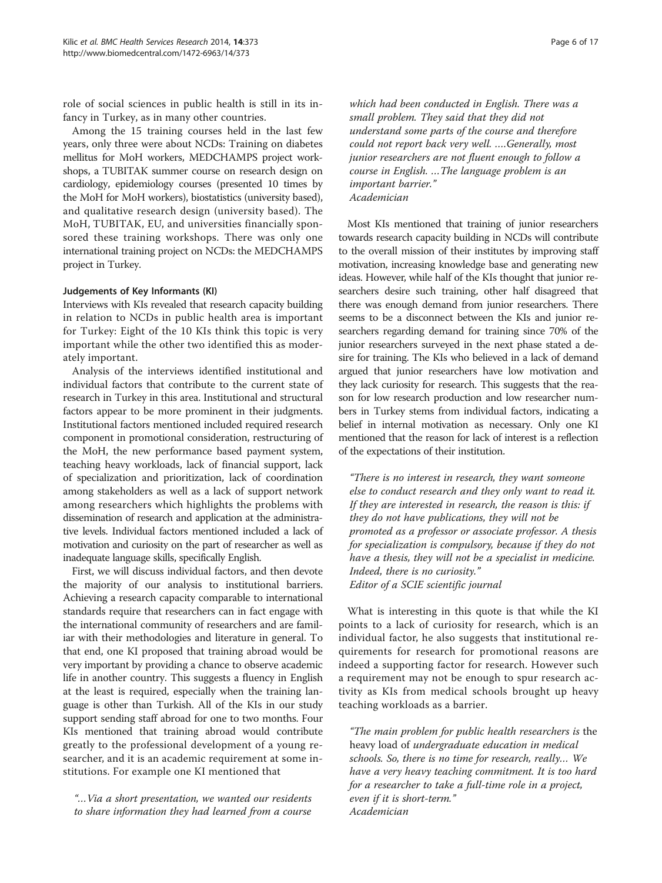role of social sciences in public health is still in its infancy in Turkey, as in many other countries.

Among the 15 training courses held in the last few years, only three were about NCDs: Training on diabetes mellitus for MoH workers, MEDCHAMPS project workshops, a TUBITAK summer course on research design on cardiology, epidemiology courses (presented 10 times by the MoH for MoH workers), biostatistics (university based), and qualitative research design (university based). The MoH, TUBITAK, EU, and universities financially sponsored these training workshops. There was only one international training project on NCDs: the MEDCHAMPS project in Turkey.

## Judgements of Key Informants (KI)

Interviews with KIs revealed that research capacity building in relation to NCDs in public health area is important for Turkey: Eight of the 10 KIs think this topic is very important while the other two identified this as moderately important.

Analysis of the interviews identified institutional and individual factors that contribute to the current state of research in Turkey in this area. Institutional and structural factors appear to be more prominent in their judgments. Institutional factors mentioned included required research component in promotional consideration, restructuring of the MoH, the new performance based payment system, teaching heavy workloads, lack of financial support, lack of specialization and prioritization, lack of coordination among stakeholders as well as a lack of support network among researchers which highlights the problems with dissemination of research and application at the administrative levels. Individual factors mentioned included a lack of motivation and curiosity on the part of researcher as well as inadequate language skills, specifically English.

First, we will discuss individual factors, and then devote the majority of our analysis to institutional barriers. Achieving a research capacity comparable to international standards require that researchers can in fact engage with the international community of researchers and are familiar with their methodologies and literature in general. To that end, one KI proposed that training abroad would be very important by providing a chance to observe academic life in another country. This suggests a fluency in English at the least is required, especially when the training language is other than Turkish. All of the KIs in our study support sending staff abroad for one to two months. Four KIs mentioned that training abroad would contribute greatly to the professional development of a young researcher, and it is an academic requirement at some institutions. For example one KI mentioned that

"…Via a short presentation, we wanted our residents to share information they had learned from a course

which had been conducted in English. There was a small problem. They said that they did not understand some parts of the course and therefore could not report back very well. ….Generally, most junior researchers are not fluent enough to follow a course in English. …The language problem is an important barrier." Academician

Most KIs mentioned that training of junior researchers towards research capacity building in NCDs will contribute to the overall mission of their institutes by improving staff motivation, increasing knowledge base and generating new ideas. However, while half of the KIs thought that junior researchers desire such training, other half disagreed that there was enough demand from junior researchers. There seems to be a disconnect between the KIs and junior researchers regarding demand for training since 70% of the junior researchers surveyed in the next phase stated a desire for training. The KIs who believed in a lack of demand argued that junior researchers have low motivation and they lack curiosity for research. This suggests that the reason for low research production and low researcher numbers in Turkey stems from individual factors, indicating a belief in internal motivation as necessary. Only one KI mentioned that the reason for lack of interest is a reflection of the expectations of their institution.

"There is no interest in research, they want someone else to conduct research and they only want to read it. If they are interested in research, the reason is this: if they do not have publications, they will not be promoted as a professor or associate professor. A thesis for specialization is compulsory, because if they do not have a thesis, they will not be a specialist in medicine. Indeed, there is no curiosity." Editor of a SCIE scientific journal

What is interesting in this quote is that while the KI points to a lack of curiosity for research, which is an individual factor, he also suggests that institutional requirements for research for promotional reasons are indeed a supporting factor for research. However such a requirement may not be enough to spur research activity as KIs from medical schools brought up heavy teaching workloads as a barrier.

"The main problem for public health researchers is the heavy load of undergraduate education in medical schools. So, there is no time for research, really… We have a very heavy teaching commitment. It is too hard for a researcher to take a full-time role in a project, even if it is short-term." Academician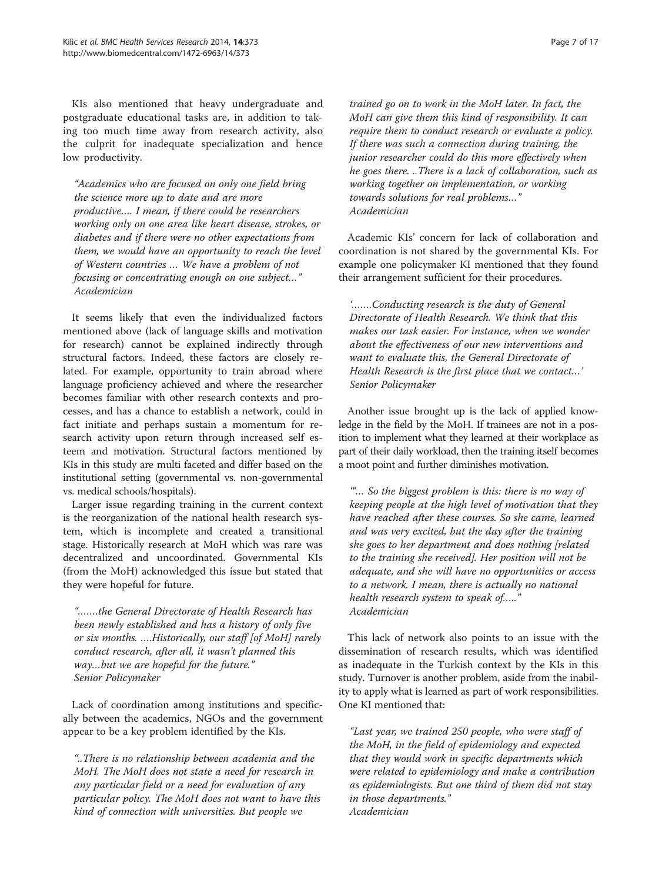KIs also mentioned that heavy undergraduate and postgraduate educational tasks are, in addition to taking too much time away from research activity, also the culprit for inadequate specialization and hence low productivity.

"Academics who are focused on only one field bring the science more up to date and are more productive…. I mean, if there could be researchers working only on one area like heart disease, strokes, or diabetes and if there were no other expectations from them, we would have an opportunity to reach the level of Western countries … We have a problem of not focusing or concentrating enough on one subject…" Academician

It seems likely that even the individualized factors mentioned above (lack of language skills and motivation for research) cannot be explained indirectly through structural factors. Indeed, these factors are closely related. For example, opportunity to train abroad where language proficiency achieved and where the researcher becomes familiar with other research contexts and processes, and has a chance to establish a network, could in fact initiate and perhaps sustain a momentum for research activity upon return through increased self esteem and motivation. Structural factors mentioned by KIs in this study are multi faceted and differ based on the institutional setting (governmental vs. non-governmental vs. medical schools/hospitals).

Larger issue regarding training in the current context is the reorganization of the national health research system, which is incomplete and created a transitional stage. Historically research at MoH which was rare was decentralized and uncoordinated. Governmental KIs (from the MoH) acknowledged this issue but stated that they were hopeful for future.

"…….the General Directorate of Health Research has been newly established and has a history of only five or six months. ….Historically, our staff [of MoH] rarely conduct research, after all, it wasn't planned this way...but we are hopeful for the future." Senior Policymaker

Lack of coordination among institutions and specifically between the academics, NGOs and the government appear to be a key problem identified by the KIs.

"..There is no relationship between academia and the MoH. The MoH does not state a need for research in any particular field or a need for evaluation of any particular policy. The MoH does not want to have this kind of connection with universities. But people we

trained go on to work in the MoH later. In fact, the MoH can give them this kind of responsibility. It can require them to conduct research or evaluate a policy. If there was such a connection during training, the junior researcher could do this more effectively when he goes there. ..There is a lack of collaboration, such as working together on implementation, or working towards solutions for real problems…" Academician

Academic KIs' concern for lack of collaboration and coordination is not shared by the governmental KIs. For example one policymaker KI mentioned that they found their arrangement sufficient for their procedures.

'…….Conducting research is the duty of General Directorate of Health Research. We think that this makes our task easier. For instance, when we wonder about the effectiveness of our new interventions and want to evaluate this, the General Directorate of Health Research is the first place that we contact…' Senior Policymaker

Another issue brought up is the lack of applied knowledge in the field by the MoH. If trainees are not in a position to implement what they learned at their workplace as part of their daily workload, then the training itself becomes a moot point and further diminishes motivation.

'"… So the biggest problem is this: there is no way of keeping people at the high level of motivation that they have reached after these courses. So she came, learned and was very excited, but the day after the training she goes to her department and does nothing [related to the training she received]. Her position will not be adequate, and she will have no opportunities or access to a network. I mean, there is actually no national health research system to speak of....." Academician

This lack of network also points to an issue with the dissemination of research results, which was identified as inadequate in the Turkish context by the KIs in this study. Turnover is another problem, aside from the inability to apply what is learned as part of work responsibilities. One KI mentioned that:

"Last year, we trained 250 people, who were staff of the MoH, in the field of epidemiology and expected that they would work in specific departments which were related to epidemiology and make a contribution as epidemiologists. But one third of them did not stay in those departments." Academician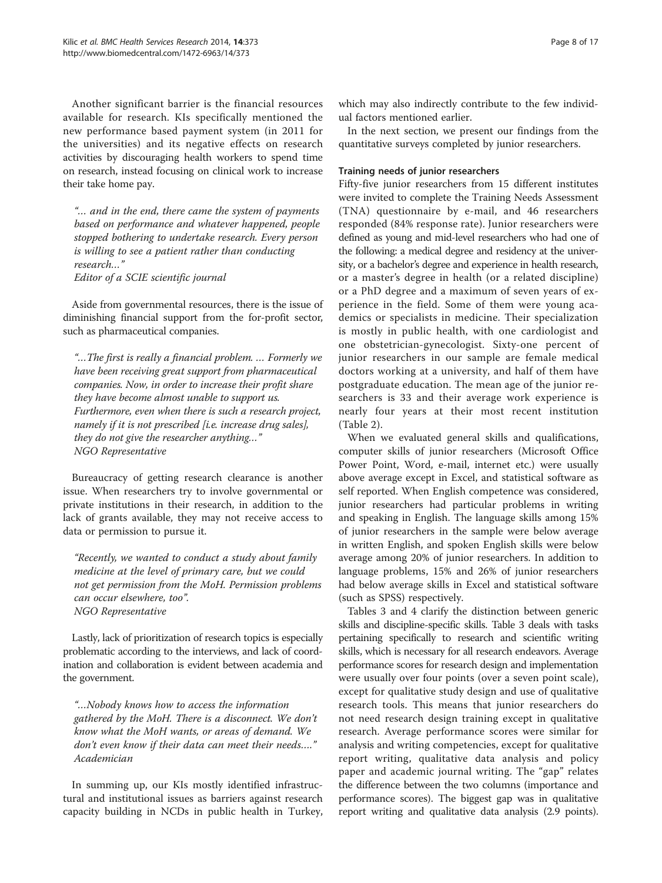Another significant barrier is the financial resources available for research. KIs specifically mentioned the new performance based payment system (in 2011 for the universities) and its negative effects on research activities by discouraging health workers to spend time on research, instead focusing on clinical work to increase their take home pay.

"… and in the end, there came the system of payments based on performance and whatever happened, people stopped bothering to undertake research. Every person is willing to see a patient rather than conducting research…" Editor of a SCIE scientific journal

Aside from governmental resources, there is the issue of diminishing financial support from the for-profit sector, such as pharmaceutical companies.

"…The first is really a financial problem. … Formerly we have been receiving great support from pharmaceutical companies. Now, in order to increase their profit share they have become almost unable to support us. Furthermore, even when there is such a research project, namely if it is not prescribed [i.e. increase drug sales], they do not give the researcher anything…" NGO Representative

Bureaucracy of getting research clearance is another issue. When researchers try to involve governmental or private institutions in their research, in addition to the lack of grants available, they may not receive access to data or permission to pursue it.

"Recently, we wanted to conduct a study about family medicine at the level of primary care, but we could not get permission from the MoH. Permission problems can occur elsewhere, too". NGO Representative

Lastly, lack of prioritization of research topics is especially problematic according to the interviews, and lack of coordination and collaboration is evident between academia and the government.

"…Nobody knows how to access the information gathered by the MoH. There is a disconnect. We don't know what the MoH wants, or areas of demand. We don't even know if their data can meet their needs…." Academician

In summing up, our KIs mostly identified infrastructural and institutional issues as barriers against research capacity building in NCDs in public health in Turkey, which may also indirectly contribute to the few individual factors mentioned earlier.

In the next section, we present our findings from the quantitative surveys completed by junior researchers.

## Training needs of junior researchers

Fifty-five junior researchers from 15 different institutes were invited to complete the Training Needs Assessment (TNA) questionnaire by e-mail, and 46 researchers responded (84% response rate). Junior researchers were defined as young and mid-level researchers who had one of the following: a medical degree and residency at the university, or a bachelor's degree and experience in health research, or a master's degree in health (or a related discipline) or a PhD degree and a maximum of seven years of experience in the field. Some of them were young academics or specialists in medicine. Their specialization is mostly in public health, with one cardiologist and one obstetrician-gynecologist. Sixty-one percent of junior researchers in our sample are female medical doctors working at a university, and half of them have postgraduate education. The mean age of the junior researchers is 33 and their average work experience is nearly four years at their most recent institution (Table [2\)](#page-8-0).

When we evaluated general skills and qualifications, computer skills of junior researchers (Microsoft Office Power Point, Word, e-mail, internet etc.) were usually above average except in Excel, and statistical software as self reported. When English competence was considered, junior researchers had particular problems in writing and speaking in English. The language skills among 15% of junior researchers in the sample were below average in written English, and spoken English skills were below average among 20% of junior researchers. In addition to language problems, 15% and 26% of junior researchers had below average skills in Excel and statistical software (such as SPSS) respectively.

Tables [3](#page-8-0) and [4](#page-9-0) clarify the distinction between generic skills and discipline-specific skills. Table [3](#page-8-0) deals with tasks pertaining specifically to research and scientific writing skills, which is necessary for all research endeavors. Average performance scores for research design and implementation were usually over four points (over a seven point scale), except for qualitative study design and use of qualitative research tools. This means that junior researchers do not need research design training except in qualitative research. Average performance scores were similar for analysis and writing competencies, except for qualitative report writing, qualitative data analysis and policy paper and academic journal writing. The "gap" relates the difference between the two columns (importance and performance scores). The biggest gap was in qualitative report writing and qualitative data analysis (2.9 points).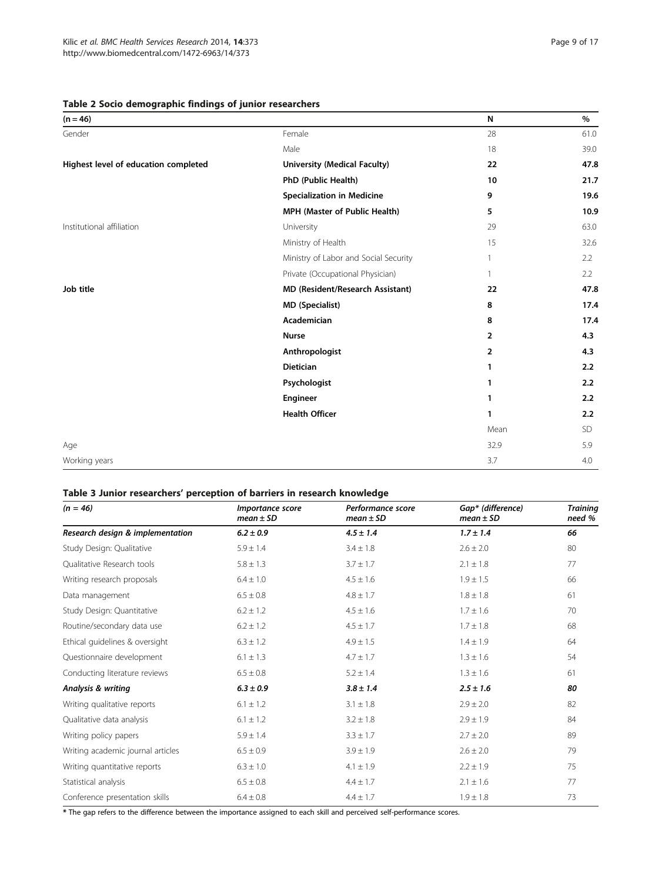<span id="page-8-0"></span>

|  | Table 2 Socio demographic findings of junior researchers |  |  |  |
|--|----------------------------------------------------------|--|--|--|
|--|----------------------------------------------------------|--|--|--|

| $(n = 46)$                           |                                       | N              | %         |
|--------------------------------------|---------------------------------------|----------------|-----------|
| Gender                               | Female                                | 28             | 61.0      |
|                                      | Male                                  | 18             | 39.0      |
| Highest level of education completed | University (Medical Faculty)          | 22             | 47.8      |
|                                      | PhD (Public Health)                   | 10             | 21.7      |
|                                      | <b>Specialization in Medicine</b>     | 9              | 19.6      |
|                                      | MPH (Master of Public Health)         | 5              | 10.9      |
| Institutional affiliation            | University                            | 29             | 63.0      |
|                                      | Ministry of Health                    | 15             | 32.6      |
|                                      | Ministry of Labor and Social Security | 1              | 2.2       |
|                                      | Private (Occupational Physician)      | 1              | 2.2       |
| Job title                            | MD (Resident/Research Assistant)      | 22             | 47.8      |
|                                      | <b>MD</b> (Specialist)                | 8              | 17.4      |
|                                      | Academician                           | 8              | 17.4      |
|                                      | <b>Nurse</b>                          | 2              | 4.3       |
|                                      | Anthropologist                        | $\overline{2}$ | 4.3       |
|                                      | <b>Dietician</b>                      | 1              | 2.2       |
|                                      | Psychologist                          | 1              | 2.2       |
|                                      | <b>Engineer</b>                       | 1              | 2.2       |
|                                      | <b>Health Officer</b>                 | 1              | 2.2       |
|                                      |                                       | Mean           | <b>SD</b> |
| Age                                  |                                       | 32.9           | 5.9       |
| Working years                        |                                       | 3.7            | 4.0       |

# Table 3 Junior researchers' perception of barriers in research knowledge

| $(n = 46)$                        | Importance score<br>$mean \pm SD$ | Performance score<br>$mean \pm SD$ | Gap* (difference)<br>$mean \pm SD$ | <b>Training</b><br>need % |
|-----------------------------------|-----------------------------------|------------------------------------|------------------------------------|---------------------------|
| Research design & implementation  | $6.2 \pm 0.9$                     | $4.5 \pm 1.4$                      | $1.7 \pm 1.4$                      | 66                        |
| Study Design: Qualitative         | $5.9 \pm 1.4$                     | $3.4 \pm 1.8$                      | $2.6 \pm 2.0$                      | 80                        |
| Oualitative Research tools        | $5.8 \pm 1.3$                     | $3.7 \pm 1.7$                      | $2.1 \pm 1.8$                      | 77                        |
| Writing research proposals        | $6.4 \pm 1.0$                     | $4.5 \pm 1.6$                      | $1.9 \pm 1.5$                      | 66                        |
| Data management                   | $6.5 \pm 0.8$                     | $4.8 \pm 1.7$                      | $1.8 \pm 1.8$                      | 61                        |
| Study Design: Quantitative        | $6.2 \pm 1.2$                     | $4.5 \pm 1.6$                      | $1.7 \pm 1.6$                      | 70                        |
| Routine/secondary data use        | $6.2 \pm 1.2$                     | $4.5 \pm 1.7$                      | $1.7 \pm 1.8$                      | 68                        |
| Ethical quidelines & oversight    | $6.3 \pm 1.2$                     | $4.9 \pm 1.5$                      | $1.4 \pm 1.9$                      | 64                        |
| Questionnaire development         | $6.1 \pm 1.3$                     | $4.7 \pm 1.7$                      | $1.3 \pm 1.6$                      | 54                        |
| Conducting literature reviews     | $6.5 \pm 0.8$                     | $5.2 \pm 1.4$                      | $1.3 \pm 1.6$                      | 61                        |
| Analysis & writing                | $6.3 \pm 0.9$                     | $3.8 \pm 1.4$                      | $2.5 \pm 1.6$                      | 80                        |
| Writing qualitative reports       | $6.1 \pm 1.2$                     | $3.1 \pm 1.8$                      | $2.9 \pm 2.0$                      | 82                        |
| Qualitative data analysis         | $6.1 \pm 1.2$                     | $3.2 \pm 1.8$                      | $2.9 \pm 1.9$                      | 84                        |
| Writing policy papers             | $5.9 \pm 1.4$                     | $3.3 \pm 1.7$                      | $2.7 \pm 2.0$                      | 89                        |
| Writing academic journal articles | $6.5 \pm 0.9$                     | $3.9 \pm 1.9$                      | $2.6 \pm 2.0$                      | 79                        |
| Writing quantitative reports      | $6.3 \pm 1.0$                     | $4.1 \pm 1.9$                      | $2.2 \pm 1.9$                      | 75                        |
| Statistical analysis              | $6.5 \pm 0.8$                     | $4.4 \pm 1.7$                      | $2.1 \pm 1.6$                      | 77                        |
| Conference presentation skills    | $6.4 \pm 0.8$                     | $4.4 \pm 1.7$                      | $1.9 \pm 1.8$                      | 73                        |

\* The gap refers to the difference between the importance assigned to each skill and perceived self-performance scores.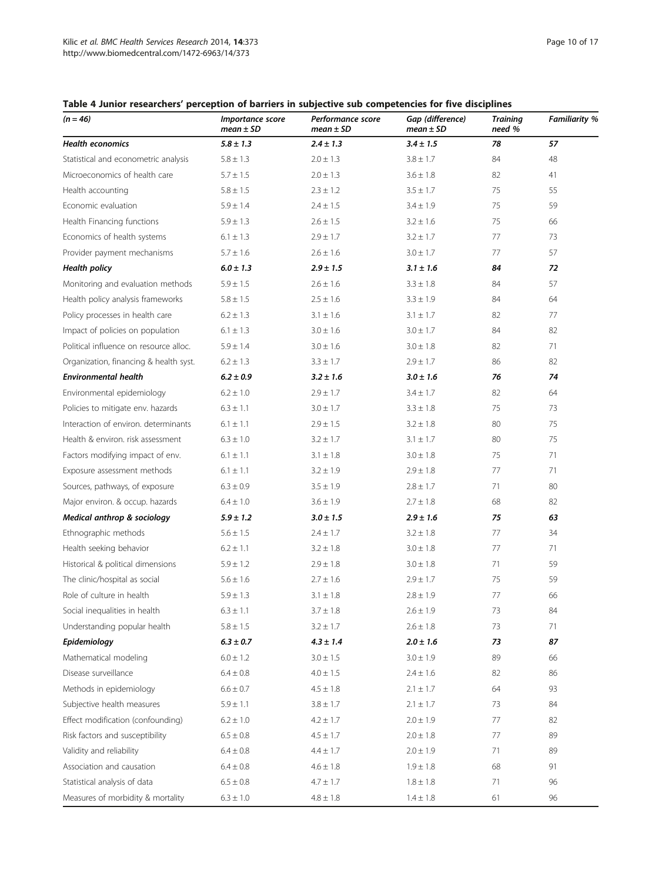# <span id="page-9-0"></span>Table 4 Junior researchers' perception of barriers in subjective sub competencies for five disciplines

| $(n = 46)$                             | Importance score<br>$mean \pm SD$ | Performance score<br>$mean \pm SD$ | Gap (difference)<br>$mean \pm SD$ | <b>Training</b><br>need % | <b>Familiarity %</b> |
|----------------------------------------|-----------------------------------|------------------------------------|-----------------------------------|---------------------------|----------------------|
| <b>Health economics</b>                | $5.8 \pm 1.3$                     | $2.4 \pm 1.3$                      | $3.4 \pm 1.5$                     | 78                        | 57                   |
| Statistical and econometric analysis   | $5.8 \pm 1.3$                     | $2.0 \pm 1.3$                      | $3.8 \pm 1.7$                     | 84                        | 48                   |
| Microeconomics of health care          | $5.7 \pm 1.5$                     | $2.0 \pm 1.3$                      | $3.6 \pm 1.8$                     | 82                        | 41                   |
| Health accounting                      | $5.8 \pm 1.5$                     | $2.3 \pm 1.2$                      | $3.5 \pm 1.7$                     | 75                        | 55                   |
| Economic evaluation                    | $5.9 \pm 1.4$                     | $2.4 \pm 1.5$                      | $3.4 \pm 1.9$                     | 75                        | 59                   |
| Health Financing functions             | $5.9 \pm 1.3$                     | $2.6 \pm 1.5$                      | $3.2 \pm 1.6$                     | 75                        | 66                   |
| Economics of health systems            | $6.1 \pm 1.3$                     | $2.9 \pm 1.7$                      | $3.2 \pm 1.7$                     | 77                        | 73                   |
| Provider payment mechanisms            | $5.7 \pm 1.6$                     | $2.6 \pm 1.6$                      | $3.0 \pm 1.7$                     | 77                        | 57                   |
| <b>Health policy</b>                   | $6.0 \pm 1.3$                     | $2.9 \pm 1.5$                      | $3.1 \pm 1.6$                     | 84                        | 72                   |
| Monitoring and evaluation methods      | $5.9 \pm 1.5$                     | $2.6 \pm 1.6$                      | $3.3 \pm 1.8$                     | 84                        | 57                   |
| Health policy analysis frameworks      | $5.8 \pm 1.5$                     | $2.5 \pm 1.6$                      | $3.3 \pm 1.9$                     | 84                        | 64                   |
| Policy processes in health care        | $6.2 \pm 1.3$                     | $3.1 \pm 1.6$                      | $3.1 \pm 1.7$                     | 82                        | 77                   |
| Impact of policies on population       | $6.1 \pm 1.3$                     | $3.0 \pm 1.6$                      | $3.0 \pm 1.7$                     | 84                        | 82                   |
| Political influence on resource alloc. | $5.9 \pm 1.4$                     | $3.0 \pm 1.6$                      | $3.0 \pm 1.8$                     | 82                        | 71                   |
| Organization, financing & health syst. | $6.2 \pm 1.3$                     | $3.3 \pm 1.7$                      | $2.9 \pm 1.7$                     | 86                        | 82                   |
| <b>Environmental health</b>            | $6.2 \pm 0.9$                     | $3.2 \pm 1.6$                      | $3.0 \pm 1.6$                     | 76                        | 74                   |
| Environmental epidemiology             | $6.2 \pm 1.0$                     | $2.9 \pm 1.7$                      | $3.4 \pm 1.7$                     | 82                        | 64                   |
| Policies to mitigate env. hazards      | $6.3 \pm 1.1$                     | $3.0 \pm 1.7$                      | $3.3 \pm 1.8$                     | 75                        | 73                   |
| Interaction of environ. determinants   | $6.1 \pm 1.1$                     | $2.9 \pm 1.5$                      | $3.2 \pm 1.8$                     | 80                        | 75                   |
| Health & environ. risk assessment      | $6.3 \pm 1.0$                     | $3.2 \pm 1.7$                      | $3.1 \pm 1.7$                     | 80                        | 75                   |
| Factors modifying impact of env.       | $6.1 \pm 1.1$                     | $3.1 \pm 1.8$                      | $3.0 \pm 1.8$                     | 75                        | 71                   |
| Exposure assessment methods            | $6.1 \pm 1.1$                     | $3.2 \pm 1.9$                      | $2.9 \pm 1.8$                     | 77                        | 71                   |
| Sources, pathways, of exposure         | $6.3 \pm 0.9$                     | $3.5 \pm 1.9$                      | $2.8 \pm 1.7$                     | 71                        | 80                   |
| Major environ. & occup. hazards        | $6.4 \pm 1.0$                     | $3.6 \pm 1.9$                      | $2.7 \pm 1.8$                     | 68                        | 82                   |
| Medical anthrop & sociology            | $5.9 \pm 1.2$                     | $3.0 \pm 1.5$                      | $2.9 \pm 1.6$                     | 75                        | 63                   |
| Ethnographic methods                   | $5.6 \pm 1.5$                     | $2.4 \pm 1.7$                      | $3.2 \pm 1.8$                     | 77                        | 34                   |
| Health seeking behavior                | $6.2 \pm 1.1$                     | $3.2 \pm 1.8$                      | $3.0 \pm 1.8$                     | 77                        | 71                   |
| Historical & political dimensions      | $5.9 \pm 1.2$                     | $2.9 \pm 1.8$                      | $3.0 \pm 1.8$                     | 71                        | 59                   |
| The clinic/hospital as social          | $5.6 \pm 1.6$                     | $2.7 \pm 1.6$                      | $2.9 \pm 1.7$                     | 75                        | 59                   |
| Role of culture in health              | $5.9 \pm 1.3$                     | $3.1 \pm 1.8$                      | $2.8 \pm 1.9$                     | 77                        | 66                   |
| Social inequalities in health          | $6.3 \pm 1.1$                     | $3.7\pm1.8$                        | $2.6\pm1.9$                       | 73                        | 84                   |
| Understanding popular health           | $5.8 \pm 1.5$                     | $3.2 \pm 1.7$                      | $2.6 \pm 1.8$                     | 73                        | 71                   |
| Epidemiology                           | $6.3 \pm 0.7$                     | $4.3 \pm 1.4$                      | $2.0 \pm 1.6$                     | 73                        | 87                   |
| Mathematical modeling                  | $6.0 \pm 1.2$                     | $3.0 \pm 1.5$                      | $3.0 \pm 1.9$                     | 89                        | 66                   |
| Disease surveillance                   | $6.4\pm0.8$                       | $4.0 \pm 1.5$                      | $2.4 \pm 1.6$                     | 82                        | 86                   |
| Methods in epidemiology                | $6.6 \pm 0.7$                     | $4.5 \pm 1.8$                      | $2.1 \pm 1.7$                     | 64                        | 93                   |
| Subjective health measures             | $5.9 \pm 1.1$                     | $3.8 \pm 1.7$                      | $2.1 \pm 1.7$                     | 73                        | 84                   |
| Effect modification (confounding)      | $6.2 \pm 1.0$                     | $4.2 \pm 1.7$                      | $2.0 \pm 1.9$                     | 77                        | 82                   |
| Risk factors and susceptibility        | $6.5 \pm 0.8$                     | $4.5 \pm 1.7$                      | $2.0 \pm 1.8$                     | 77                        | 89                   |
| Validity and reliability               | $6.4 \pm 0.8$                     | $4.4 \pm 1.7$                      | $2.0 \pm 1.9$                     | 71                        | 89                   |
| Association and causation              | $6.4 \pm 0.8$                     | $4.6 \pm 1.8$                      | $1.9 \pm 1.8$                     | 68                        | 91                   |
| Statistical analysis of data           | $6.5 \pm 0.8$                     | $4.7 \pm 1.7$                      | $1.8 \pm 1.8$                     | 71                        | 96                   |
| Measures of morbidity & mortality      | $6.3 \pm 1.0$                     | $4.8 \pm 1.8$                      | $1.4 \pm 1.8$                     | 61                        | 96                   |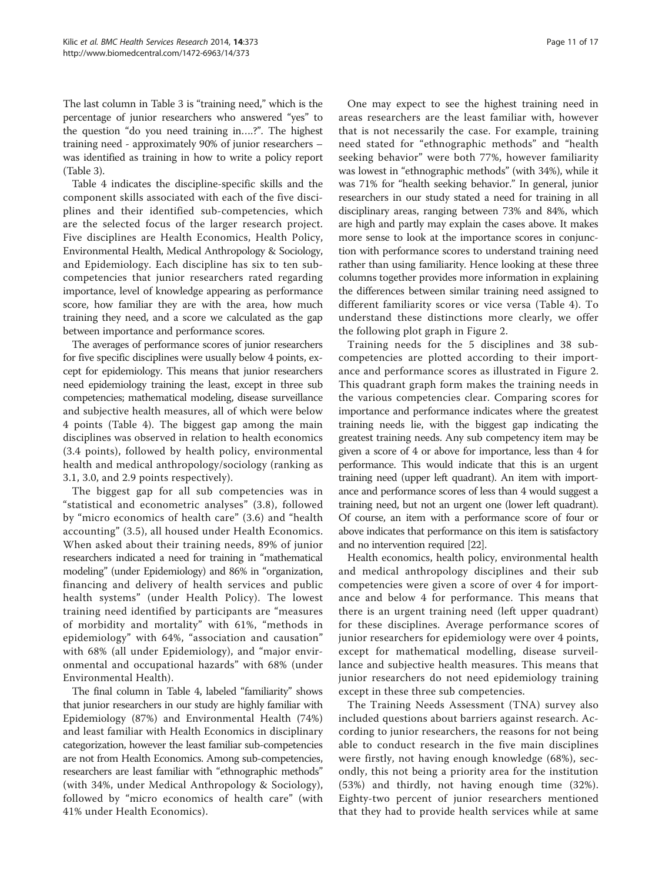The last column in Table [3](#page-8-0) is "training need," which is the percentage of junior researchers who answered "yes" to the question "do you need training in….?". The highest training need - approximately 90% of junior researchers – was identified as training in how to write a policy report (Table [3](#page-8-0)).

Table [4](#page-9-0) indicates the discipline-specific skills and the component skills associated with each of the five disciplines and their identified sub-competencies, which are the selected focus of the larger research project. Five disciplines are Health Economics, Health Policy, Environmental Health, Medical Anthropology & Sociology, and Epidemiology. Each discipline has six to ten subcompetencies that junior researchers rated regarding importance, level of knowledge appearing as performance score, how familiar they are with the area, how much training they need, and a score we calculated as the gap between importance and performance scores.

The averages of performance scores of junior researchers for five specific disciplines were usually below 4 points, except for epidemiology. This means that junior researchers need epidemiology training the least, except in three sub competencies; mathematical modeling, disease surveillance and subjective health measures, all of which were below 4 points (Table [4](#page-9-0)). The biggest gap among the main disciplines was observed in relation to health economics (3.4 points), followed by health policy, environmental health and medical anthropology/sociology (ranking as 3.1, 3.0, and 2.9 points respectively).

The biggest gap for all sub competencies was in "statistical and econometric analyses" (3.8), followed by "micro economics of health care" (3.6) and "health accounting" (3.5), all housed under Health Economics. When asked about their training needs, 89% of junior researchers indicated a need for training in "mathematical modeling" (under Epidemiology) and 86% in "organization, financing and delivery of health services and public health systems" (under Health Policy). The lowest training need identified by participants are "measures of morbidity and mortality" with 61%, "methods in epidemiology" with 64%, "association and causation" with 68% (all under Epidemiology), and "major environmental and occupational hazards" with 68% (under Environmental Health).

The final column in Table [4,](#page-9-0) labeled "familiarity" shows that junior researchers in our study are highly familiar with Epidemiology (87%) and Environmental Health (74%) and least familiar with Health Economics in disciplinary categorization, however the least familiar sub-competencies are not from Health Economics. Among sub-competencies, researchers are least familiar with "ethnographic methods" (with 34%, under Medical Anthropology & Sociology), followed by "micro economics of health care" (with 41% under Health Economics).

One may expect to see the highest training need in areas researchers are the least familiar with, however that is not necessarily the case. For example, training need stated for "ethnographic methods" and "health seeking behavior" were both 77%, however familiarity was lowest in "ethnographic methods" (with 34%), while it was 71% for "health seeking behavior." In general, junior researchers in our study stated a need for training in all disciplinary areas, ranging between 73% and 84%, which are high and partly may explain the cases above. It makes more sense to look at the importance scores in conjunction with performance scores to understand training need rather than using familiarity. Hence looking at these three columns together provides more information in explaining the differences between similar training need assigned to different familiarity scores or vice versa (Table [4](#page-9-0)). To understand these distinctions more clearly, we offer the following plot graph in Figure [2.](#page-11-0)

Training needs for the 5 disciplines and 38 subcompetencies are plotted according to their importance and performance scores as illustrated in Figure [2](#page-11-0). This quadrant graph form makes the training needs in the various competencies clear. Comparing scores for importance and performance indicates where the greatest training needs lie, with the biggest gap indicating the greatest training needs. Any sub competency item may be given a score of 4 or above for importance, less than 4 for performance. This would indicate that this is an urgent training need (upper left quadrant). An item with importance and performance scores of less than 4 would suggest a training need, but not an urgent one (lower left quadrant). Of course, an item with a performance score of four or above indicates that performance on this item is satisfactory and no intervention required [[22](#page-15-0)].

Health economics, health policy, environmental health and medical anthropology disciplines and their sub competencies were given a score of over 4 for importance and below 4 for performance. This means that there is an urgent training need (left upper quadrant) for these disciplines. Average performance scores of junior researchers for epidemiology were over 4 points, except for mathematical modelling, disease surveillance and subjective health measures. This means that junior researchers do not need epidemiology training except in these three sub competencies.

The Training Needs Assessment (TNA) survey also included questions about barriers against research. According to junior researchers, the reasons for not being able to conduct research in the five main disciplines were firstly, not having enough knowledge (68%), secondly, this not being a priority area for the institution (53%) and thirdly, not having enough time (32%). Eighty-two percent of junior researchers mentioned that they had to provide health services while at same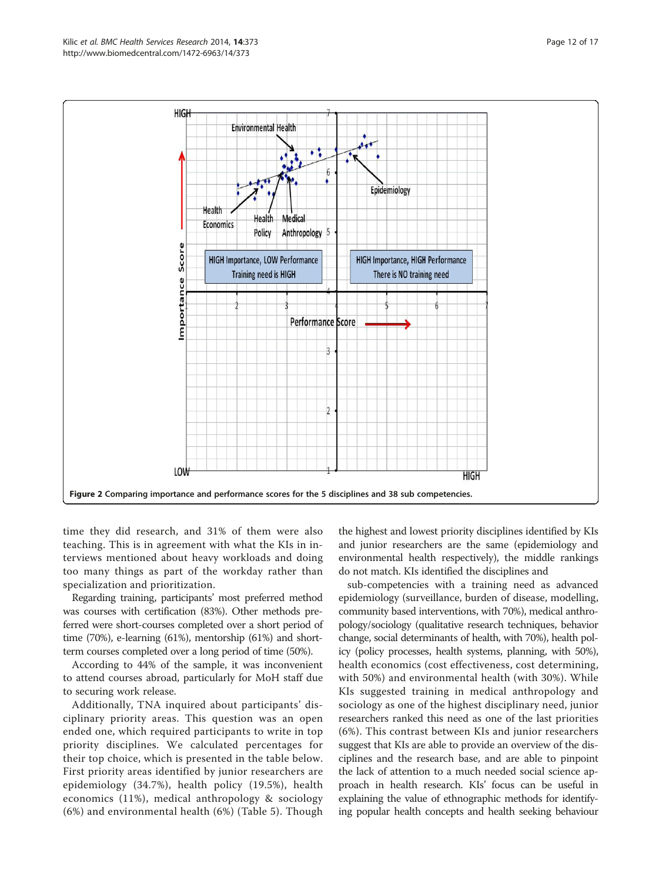<span id="page-11-0"></span>

time they did research, and 31% of them were also teaching. This is in agreement with what the KIs in interviews mentioned about heavy workloads and doing too many things as part of the workday rather than specialization and prioritization.

Regarding training, participants' most preferred method was courses with certification (83%). Other methods preferred were short-courses completed over a short period of time (70%), e-learning (61%), mentorship (61%) and shortterm courses completed over a long period of time (50%).

According to 44% of the sample, it was inconvenient to attend courses abroad, particularly for MoH staff due to securing work release.

Additionally, TNA inquired about participants' disciplinary priority areas. This question was an open ended one, which required participants to write in top priority disciplines. We calculated percentages for their top choice, which is presented in the table below. First priority areas identified by junior researchers are epidemiology (34.7%), health policy (19.5%), health economics (11%), medical anthropology & sociology (6%) and environmental health (6%) (Table [5](#page-12-0)). Though the highest and lowest priority disciplines identified by KIs and junior researchers are the same (epidemiology and environmental health respectively), the middle rankings do not match. KIs identified the disciplines and

sub-competencies with a training need as advanced epidemiology (surveillance, burden of disease, modelling, community based interventions, with 70%), medical anthropology/sociology (qualitative research techniques, behavior change, social determinants of health, with 70%), health policy (policy processes, health systems, planning, with 50%), health economics (cost effectiveness, cost determining, with 50%) and environmental health (with 30%). While KIs suggested training in medical anthropology and sociology as one of the highest disciplinary need, junior researchers ranked this need as one of the last priorities (6%). This contrast between KIs and junior researchers suggest that KIs are able to provide an overview of the disciplines and the research base, and are able to pinpoint the lack of attention to a much needed social science approach in health research. KIs' focus can be useful in explaining the value of ethnographic methods for identifying popular health concepts and health seeking behaviour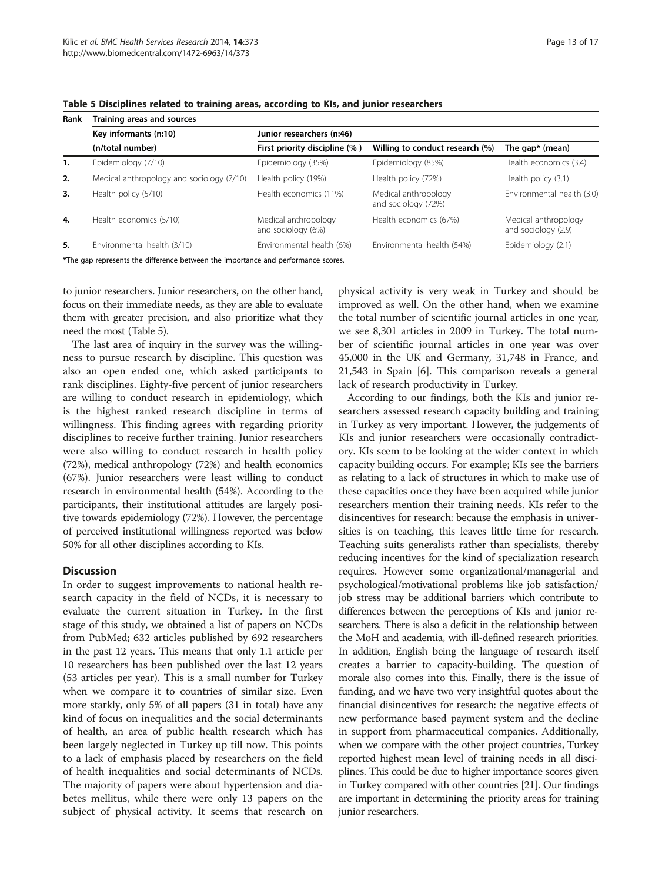| Rank | Training areas and sources                |                                            |                                             |                                             |  |  |  |
|------|-------------------------------------------|--------------------------------------------|---------------------------------------------|---------------------------------------------|--|--|--|
|      | Key informants (n:10)                     | Junior researchers (n:46)                  |                                             |                                             |  |  |  |
|      | (n/total number)                          | First priority discipline (%)              | Willing to conduct research (%)             | The gap* (mean)                             |  |  |  |
| 1.   | Epidemiology (7/10)                       | Epidemiology (35%)                         | Epidemiology (85%)                          | Health economics (3.4)                      |  |  |  |
| 2.   | Medical anthropology and sociology (7/10) | Health policy (19%)                        | Health policy (72%)                         | Health policy (3.1)                         |  |  |  |
| 3.   | Health policy (5/10)                      | Health economics (11%)                     | Medical anthropology<br>and sociology (72%) | Environmental health (3.0)                  |  |  |  |
| 4.   | Health economics (5/10)                   | Medical anthropology<br>and sociology (6%) | Health economics (67%)                      | Medical anthropology<br>and sociology (2.9) |  |  |  |
| 5.   | Environmental health (3/10)               | Environmental health (6%)                  | Environmental health (54%)                  | Epidemiology (2.1)                          |  |  |  |

<span id="page-12-0"></span>Table 5 Disciplines related to training areas, according to KIs, and junior researchers

\*The gap represents the difference between the importance and performance scores.

to junior researchers. Junior researchers, on the other hand, focus on their immediate needs, as they are able to evaluate them with greater precision, and also prioritize what they need the most (Table 5).

The last area of inquiry in the survey was the willingness to pursue research by discipline. This question was also an open ended one, which asked participants to rank disciplines. Eighty-five percent of junior researchers are willing to conduct research in epidemiology, which is the highest ranked research discipline in terms of willingness. This finding agrees with regarding priority disciplines to receive further training. Junior researchers were also willing to conduct research in health policy (72%), medical anthropology (72%) and health economics (67%). Junior researchers were least willing to conduct research in environmental health (54%). According to the participants, their institutional attitudes are largely positive towards epidemiology (72%). However, the percentage of perceived institutional willingness reported was below 50% for all other disciplines according to KIs.

## **Discussion**

In order to suggest improvements to national health research capacity in the field of NCDs, it is necessary to evaluate the current situation in Turkey. In the first stage of this study, we obtained a list of papers on NCDs from PubMed; 632 articles published by 692 researchers in the past 12 years. This means that only 1.1 article per 10 researchers has been published over the last 12 years (53 articles per year). This is a small number for Turkey when we compare it to countries of similar size. Even more starkly, only 5% of all papers (31 in total) have any kind of focus on inequalities and the social determinants of health, an area of public health research which has been largely neglected in Turkey up till now. This points to a lack of emphasis placed by researchers on the field of health inequalities and social determinants of NCDs. The majority of papers were about hypertension and diabetes mellitus, while there were only 13 papers on the subject of physical activity. It seems that research on

physical activity is very weak in Turkey and should be improved as well. On the other hand, when we examine the total number of scientific journal articles in one year, we see 8,301 articles in 2009 in Turkey. The total number of scientific journal articles in one year was over 45,000 in the UK and Germany, 31,748 in France, and 21,543 in Spain [\[6](#page-15-0)]. This comparison reveals a general lack of research productivity in Turkey.

According to our findings, both the KIs and junior researchers assessed research capacity building and training in Turkey as very important. However, the judgements of KIs and junior researchers were occasionally contradictory. KIs seem to be looking at the wider context in which capacity building occurs. For example; KIs see the barriers as relating to a lack of structures in which to make use of these capacities once they have been acquired while junior researchers mention their training needs. KIs refer to the disincentives for research: because the emphasis in universities is on teaching, this leaves little time for research. Teaching suits generalists rather than specialists, thereby reducing incentives for the kind of specialization research requires. However some organizational/managerial and psychological/motivational problems like job satisfaction/ job stress may be additional barriers which contribute to differences between the perceptions of KIs and junior researchers. There is also a deficit in the relationship between the MoH and academia, with ill-defined research priorities. In addition, English being the language of research itself creates a barrier to capacity-building. The question of morale also comes into this. Finally, there is the issue of funding, and we have two very insightful quotes about the financial disincentives for research: the negative effects of new performance based payment system and the decline in support from pharmaceutical companies. Additionally, when we compare with the other project countries, Turkey reported highest mean level of training needs in all disciplines. This could be due to higher importance scores given in Turkey compared with other countries [[21](#page-15-0)]. Our findings are important in determining the priority areas for training junior researchers.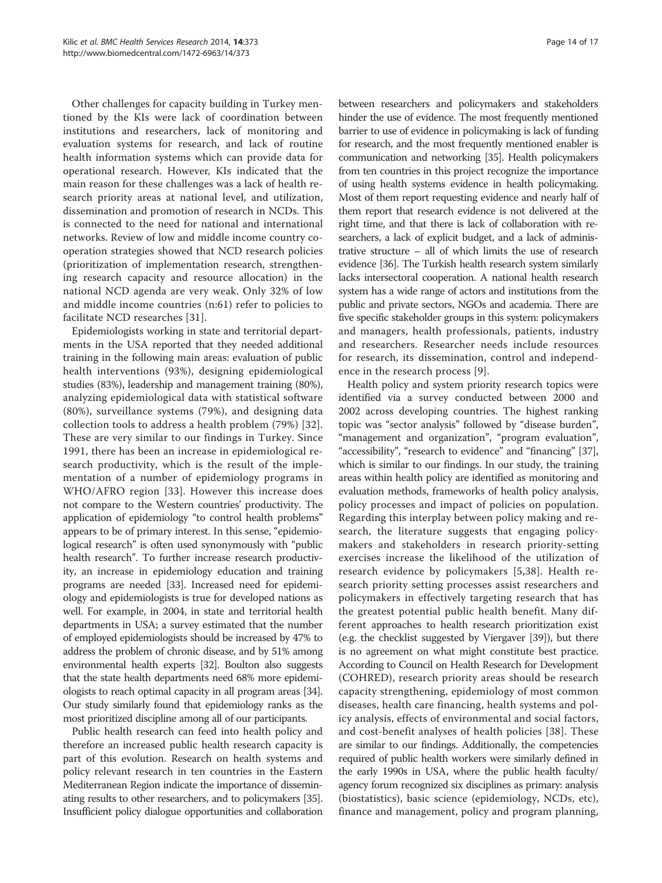Other challenges for capacity building in Turkey mentioned by the KIs were lack of coordination between institutions and researchers, lack of monitoring and evaluation systems for research, and lack of routine health information systems which can provide data for operational research. However, KIs indicated that the main reason for these challenges was a lack of health research priority areas at national level, and utilization, dissemination and promotion of research in NCDs. This is connected to the need for national and international networks. Review of low and middle income country cooperation strategies showed that NCD research policies (prioritization of implementation research, strengthening research capacity and resource allocation) in the national NCD agenda are very weak. Only 32% of low and middle income countries (n:61) refer to policies to facilitate NCD researches [\[31\]](#page-15-0).

Epidemiologists working in state and territorial departments in the USA reported that they needed additional training in the following main areas: evaluation of public health interventions (93%), designing epidemiological studies (83%), leadership and management training (80%), analyzing epidemiological data with statistical software (80%), surveillance systems (79%), and designing data collection tools to address a health problem (79%) [[32](#page-15-0)]. These are very similar to our findings in Turkey. Since 1991, there has been an increase in epidemiological research productivity, which is the result of the implementation of a number of epidemiology programs in WHO/AFRO region [[33](#page-15-0)]. However this increase does not compare to the Western countries' productivity. The application of epidemiology "to control health problems" appears to be of primary interest. In this sense, "epidemiological research" is often used synonymously with "public health research". To further increase research productivity, an increase in epidemiology education and training programs are needed [[33](#page-15-0)]. Increased need for epidemiology and epidemiologists is true for developed nations as well. For example, in 2004, in state and territorial health departments in USA; a survey estimated that the number of employed epidemiologists should be increased by 47% to address the problem of chronic disease, and by 51% among environmental health experts [\[32](#page-15-0)]. Boulton also suggests that the state health departments need 68% more epidemiologists to reach optimal capacity in all program areas [\[34](#page-15-0)]. Our study similarly found that epidemiology ranks as the most prioritized discipline among all of our participants.

Public health research can feed into health policy and therefore an increased public health research capacity is part of this evolution. Research on health systems and policy relevant research in ten countries in the Eastern Mediterranean Region indicate the importance of disseminating results to other researchers, and to policymakers [\[35](#page-15-0)]. Insufficient policy dialogue opportunities and collaboration

between researchers and policymakers and stakeholders hinder the use of evidence. The most frequently mentioned barrier to use of evidence in policymaking is lack of funding for research, and the most frequently mentioned enabler is communication and networking [\[35\]](#page-15-0). Health policymakers from ten countries in this project recognize the importance of using health systems evidence in health policymaking. Most of them report requesting evidence and nearly half of them report that research evidence is not delivered at the right time, and that there is lack of collaboration with researchers, a lack of explicit budget, and a lack of administrative structure – all of which limits the use of research evidence [[36](#page-15-0)]. The Turkish health research system similarly lacks intersectoral cooperation. A national health research system has a wide range of actors and institutions from the public and private sectors, NGOs and academia. There are five specific stakeholder groups in this system: policymakers and managers, health professionals, patients, industry and researchers. Researcher needs include resources for research, its dissemination, control and independence in the research process [[9\]](#page-15-0).

Health policy and system priority research topics were identified via a survey conducted between 2000 and 2002 across developing countries. The highest ranking topic was "sector analysis" followed by "disease burden", "management and organization", "program evaluation", "accessibility", "research to evidence" and "financing" [[37](#page-15-0)], which is similar to our findings. In our study, the training areas within health policy are identified as monitoring and evaluation methods, frameworks of health policy analysis, policy processes and impact of policies on population. Regarding this interplay between policy making and research, the literature suggests that engaging policymakers and stakeholders in research priority-setting exercises increase the likelihood of the utilization of research evidence by policymakers [\[5](#page-15-0),[38\]](#page-16-0). Health research priority setting processes assist researchers and policymakers in effectively targeting research that has the greatest potential public health benefit. Many different approaches to health research prioritization exist (e.g. the checklist suggested by Viergaver [[39](#page-16-0)]), but there is no agreement on what might constitute best practice. According to Council on Health Research for Development (COHRED), research priority areas should be research capacity strengthening, epidemiology of most common diseases, health care financing, health systems and policy analysis, effects of environmental and social factors, and cost-benefit analyses of health policies [\[38\]](#page-16-0). These are similar to our findings. Additionally, the competencies required of public health workers were similarly defined in the early 1990s in USA, where the public health faculty/ agency forum recognized six disciplines as primary: analysis (biostatistics), basic science (epidemiology, NCDs, etc), finance and management, policy and program planning,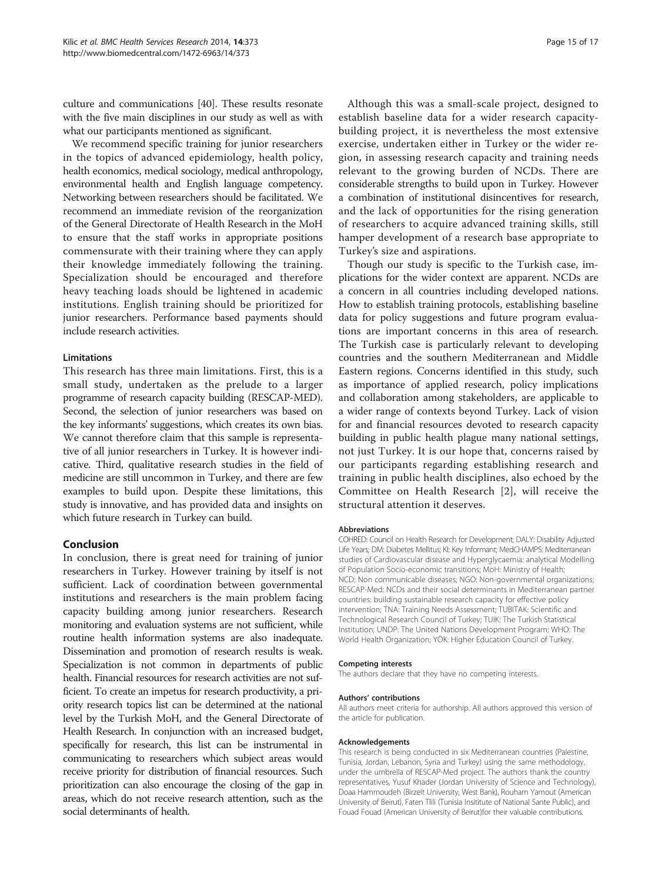culture and communications [[40](#page-16-0)]. These results resonate with the five main disciplines in our study as well as with what our participants mentioned as significant.

We recommend specific training for junior researchers in the topics of advanced epidemiology, health policy, health economics, medical sociology, medical anthropology, environmental health and English language competency. Networking between researchers should be facilitated. We recommend an immediate revision of the reorganization of the General Directorate of Health Research in the MoH to ensure that the staff works in appropriate positions commensurate with their training where they can apply their knowledge immediately following the training. Specialization should be encouraged and therefore heavy teaching loads should be lightened in academic institutions. English training should be prioritized for junior researchers. Performance based payments should include research activities.

## **Limitations**

This research has three main limitations. First, this is a small study, undertaken as the prelude to a larger programme of research capacity building (RESCAP-MED). Second, the selection of junior researchers was based on the key informants' suggestions, which creates its own bias. We cannot therefore claim that this sample is representative of all junior researchers in Turkey. It is however indicative. Third, qualitative research studies in the field of medicine are still uncommon in Turkey, and there are few examples to build upon. Despite these limitations, this study is innovative, and has provided data and insights on which future research in Turkey can build.

## Conclusion

In conclusion, there is great need for training of junior researchers in Turkey. However training by itself is not sufficient. Lack of coordination between governmental institutions and researchers is the main problem facing capacity building among junior researchers. Research monitoring and evaluation systems are not sufficient, while routine health information systems are also inadequate. Dissemination and promotion of research results is weak. Specialization is not common in departments of public health. Financial resources for research activities are not sufficient. To create an impetus for research productivity, a priority research topics list can be determined at the national level by the Turkish MoH, and the General Directorate of Health Research. In conjunction with an increased budget, specifically for research, this list can be instrumental in communicating to researchers which subject areas would receive priority for distribution of financial resources. Such prioritization can also encourage the closing of the gap in areas, which do not receive research attention, such as the social determinants of health.

Although this was a small-scale project, designed to establish baseline data for a wider research capacitybuilding project, it is nevertheless the most extensive exercise, undertaken either in Turkey or the wider region, in assessing research capacity and training needs relevant to the growing burden of NCDs. There are considerable strengths to build upon in Turkey. However a combination of institutional disincentives for research, and the lack of opportunities for the rising generation of researchers to acquire advanced training skills, still hamper development of a research base appropriate to Turkey's size and aspirations.

Though our study is specific to the Turkish case, implications for the wider context are apparent. NCDs are a concern in all countries including developed nations. How to establish training protocols, establishing baseline data for policy suggestions and future program evaluations are important concerns in this area of research. The Turkish case is particularly relevant to developing countries and the southern Mediterranean and Middle Eastern regions. Concerns identified in this study, such as importance of applied research, policy implications and collaboration among stakeholders, are applicable to a wider range of contexts beyond Turkey. Lack of vision for and financial resources devoted to research capacity building in public health plague many national settings, not just Turkey. It is our hope that, concerns raised by our participants regarding establishing research and training in public health disciplines, also echoed by the Committee on Health Research [[2\]](#page-15-0), will receive the structural attention it deserves.

#### Abbreviations

COHRED: Council on Health Research for Development; DALY: Disability Adjusted Life Years; DM: Diabetes Mellitus; KI: Key Informant; MedCHAMPS: Mediterranean studies of Cardiovascular disease and Hyperglycaemia: analytical Modelling of Population Socio-economic transitions; MoH: Ministry of Health; NCD: Non communicable diseases; NGO: Non-governmental organizations; RESCAP-Med: NCDs and their social determinants in Mediterranean partner countries: building sustainable research capacity for effective policy intervention; TNA: Training Needs Assessment; TUBITAK: Scientific and Technological Research Council of Turkey; TUIK: The Turkish Statistical Institution; UNDP: The United Nations Development Program; WHO: The World Health Organization; YÖK: Higher Education Council of Turkey.

#### Competing interests

The authors declare that they have no competing interests.

#### Authors' contributions

All authors meet criteria for authorship. All authors approved this version of the article for publication.

#### Acknowledgements

This research is being conducted in six Mediterranean countries (Palestine, Tunisia, Jordan, Lebanon, Syria and Turkey) using the same methodology, under the umbrella of RESCAP-Med project. The authors thank the country representatives, Yusuf Khader (Jordan University of Science and Technology), Doaa Hammoudeh (Birzeit University, West Bank), Rouham Yamout (American University of Beirut), Faten Tlili (Tunisia Insititute of National Sante Public), and Fouad Fouad (American University of Beirut)for their valuable contributions.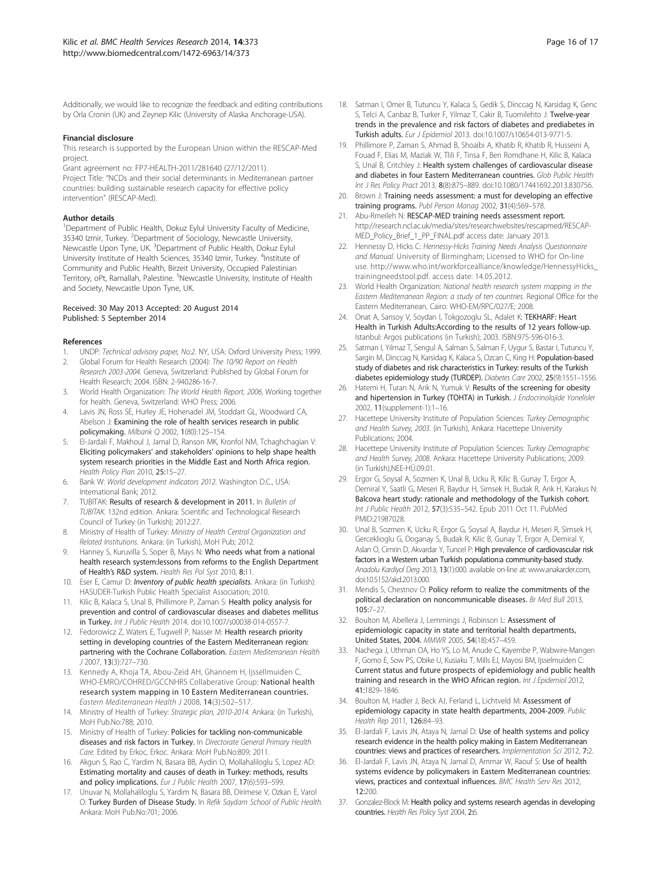<span id="page-15-0"></span>Additionally, we would like to recognize the feedback and editing contributions by Orla Cronin (UK) and Zeynep Kilic (University of Alaska Anchorage-USA).

#### Financial disclosure

This research is supported by the European Union within the RESCAP-Med project.

Grant agreement no: FP7-HEALTH-2011/281640 (27/12/2011).

Project Title: "NCDs and their social determinants in Mediterranean partner countries: building sustainable research capacity for effective policy intervention" (RESCAP-Med).

#### Author details

<sup>1</sup>Department of Public Health, Dokuz Eylul University Faculty of Medicine, 35340 Izmir, Turkey. <sup>2</sup>Department of Sociology, Newcastle University, Newcastle Upon Tyne, UK.<sup>3</sup> Department of Public Health, Dokuz Eylul University Institute of Health Sciences, 35340 Izmir, Turkey. <sup>4</sup>Institute of Community and Public Health, Birzeit University, Occupied Palestinian Territory, oPt, Ramallah, Palestine. <sup>5</sup>Newcastle University, Institute of Health and Society, Newcastle Upon Tyne, UK.

#### Received: 30 May 2013 Accepted: 20 August 2014 Published: 5 September 2014

#### References

- UNDP: Technical advisory paper, No:2. NY, USA: Oxford University Press; 1999.
- 2. Global Forum for Health Research (2004): The 10/90 Report on Health Research 2003-2004. Geneva, Switzerland: Published by Global Forum for Health Research; 2004. ISBN: 2-940286-16-7.
- 3. World Health Organization: The World Health Report, 2006, Working together for health. Geneva, Switzerland: WHO Press; 2006.
- 4. Lavis JN, Ross SE, Hurley JE, Hohenadel JM, Stoddart GL, Woodward CA, Abelson J: Examining the role of health services research in public policymaking. Milbank Q 2002, 1(80):125–154.
- 5. El-Jardali F, Makhoul J, Jamal D, Ranson MK, Kronfol NM, Tchaghchagian V: Eliciting policymakers' and stakeholders' opinions to help shape health system research priorities in the Middle East and North Africa region. Health Policy Plan 2010, 25:15–27.
- 6. Bank W: World development indicators 2012. Washington D.C., USA: International Bank; 2012.
- 7. TUBITAK: Results of research & development in 2011. In Bulletin of TUBITAK. 132nd edition. Ankara: Scientific and Technological Research Council of Turkey (in Turkish); 2012:27.
- 8. Ministry of Health of Turkey: Ministry of Health Central Organization and Related Institutions. Ankara: (in Turkish), MoH Pub; 2012.
- 9. Hanney S, Kuruvilla S, Soper B, Mays N: Who needs what from a national health research system:lessons from reforms to the English Department of Health's R&D system. Health Res Pol Syst 2010, 8:11.
- Eser E, Camur D: Inventory of public health specialists. Ankara: (in Turkish): HASUDER-Turkish Public Health Specialist Association; 2010.
- 11. Kilic B, Kalaca S, Unal B, Phillimore P, Zaman S: Health policy analysis for prevention and control of cardiovascular diseases and diabetes mellitus in Turkey. Int J Public Health 2014. doi:10.1007/s00038-014-0557-7.
- 12. Fedorowicz Z, Waters E, Tugwell P, Nasser M: Health research priority setting in developing countries of the Eastern Mediterranean region: partnering with the Cochrane Collaboration. Eastern Mediterranean Health J 2007, 13(3):727–730.
- 13. Kennedy A, Khoja TA, Abou-Zeid AH, Ghannem H, Ijssellmuiden C, WHO-EMRO/COHRED/GCCNHRS Collaberative Group: National health research system mapping in 10 Eastern Mediterranean countries. Eastern Mediterranean Health J 2008, 14(3):502–517.
- 14. Ministry of Health of Turkey: Strategic plan, 2010-2014. Ankara: (in Turkish), MoH Pub.No:788; 2010.
- 15. Ministry of Health of Turkey: Policies for tackling non-communicable diseases and risk factors in Turkey. In Directorate General Primary Health Care. Edited by Erkoc, Erkoc. Ankara: MoH Pub.No:809; 2011.
- 16. Akgun S, Rao C, Yardim N, Basara BB, Aydin O, Mollahaliloglu S, Lopez AD: Estimating mortality and causes of death in Turkey: methods, results and policy implications. Eur J Public Health 2007, 17(6):593-599
- 17. Unuvar N, Mollahaliloglu S, Yardim N, Basara BB, Dirimese V, Ozkan E, Varol O: Turkey Burden of Disease Study. In Refik Saydam School of Public Health. Ankara: MoH Pub.No:701; 2006.
- 18. Satman I, Omer B, Tutuncu Y, Kalaca S, Gedik S, Dinccag N, Karsidag K, Genc S, Telci A, Canbaz B, Turker F, Yilmaz T, Cakir B, Tuomilehto J: Twelve-year trends in the prevalence and risk factors of diabetes and prediabetes in Turkish adults. Eur J Epidemiol 2013. doi:10.1007/s10654-013-9771-5.
- 19. Phillimore P, Zaman S, Ahmad B, Shoaibi A, Khatib R, Khatib R, Husseini A, Fouad F, Elias M, Maziak W, Tlili F, Tinsa F, Ben Romdhane H, Kilic B, Kalaca S, Unal B, Critchley J: Health system challenges of cardiovascular disease and diabetes in four Eastern Mediterranean countries. Glob Public Health Int J Res Policy Pract 2013, 8(8):875–889. doi:10.1080/17441692.2013.830756.
- 20. Brown J: Training needs assessment: a must for developing an effective training programs. Publ Person Manag 2002, 31(4):569–578.
- 21. Abu-Rmeileh N: RESCAP-MED training needs assessment report. [http://research.ncl.ac.uk/media/sites/researchwebsites/rescapmed/RESCAP-](http://www.anakarder.com)[MED\\_Policy\\_Brief\\_1\\_PP\\_FINAL.pdf](http://www.anakarder.com) access date: January 2013.
- 22. Hennessy D, Hicks C: Hennessy-Hicks Training Needs Analysis Questionnaire and Manual. University of Birmingham; Licensed to WHO for On-line use. [http://www.who.int/workforcealliance/knowledge/HennessyHicks\\_](http://www.who.int/workforcealliance/knowledge/HennessyHicks_trainingneedstool.pdf) [trainingneedstool.pdf.](http://www.who.int/workforcealliance/knowledge/HennessyHicks_trainingneedstool.pdf) access date: 14.05.2012.
- 23. World Health Organization: National health research system mapping in the Eastern Mediterranean Region: a study of ten countries. Regional Office for the Eastern Mediterranean, Cairo: WHO-EM/RPC/027/E; 2008.
- 24. Onat A, Sansoy V, Soydan I, Tokgozoglu SL, Adalet K: TEKHARF: Heart Health in Turkish Adults:According to the results of 12 years follow-up. Istanbul: Argos publications (in Turkish); 2003. ISBN:975-596-016-3.
- 25. Satman I, Yılmaz T, Sengul A, Salman S, Salman F, Uygur S, Bastar I, Tutuncu Y Sargin M, Dinccag N, Karsidag K, Kalaca S, Ozcan C, King H: Population-based study of diabetes and risk characteristics in Turkey: results of the Turkish diabetes epidemiology study (TURDEP). Diabetes Care 2002, 25(9):1551–1556.
- 26. Hatemi H, Turan N, Arik N, Yumuk V: Results of the screening for obesity and hipertension in Turkey (TOHTA) in Turkish. J Endocrinolojide Yonelisler 2002, 11(supplement-1):1–16.
- 27. Hacettepe University Institute of Population Sciences: Turkey Demographic and Health Survey, 2003. (in Turkish), Ankara: Hacettepe University Publications; 2004.
- 28. Hacettepe University Institute of Population Sciences: Turkey Demographic and Health Survey, 2008. Ankara: Hacettepe University Publications; 2009. (in Turkish),NEE-HÜ.09.01.
- 29. Ergor G, Soysal A, Sozmen K, Unal B, Ucku R, Kilic B, Gunay T, Ergor A, Demiral Y, Saatli G, Meseri R, Baydur H, Simsek H, Budak R, Arik H, Karakus N: Balcova heart study: rationale and methodology of the Turkish cohort. Int J Public Health 2012, 57(3):535–542. Epub 2011 Oct 11. PubMed PMID:21987028.
- 30. Unal B, Sozmen K, Ucku R, Ergor G, Soysal A, Baydur H, Meseri R, Simsek H, Gerceklioglu G, Doganay S, Budak R, Kilic B, Gunay T, Ergor A, Demiral Y, Aslan O, Cimrin D, Akvardar Y, Tuncel P: High prevalence of cardiovascular risk factors in a Western urban Turkish population:a community-based study. Anadolu Kardiyol Derg 2013, 13(1):000. available on-line at: [www.anakarder.com](http://www.anakarder.com), doi:10.5152/akd.2013.000.
- 31. Mendis S, Chestnov O: Policy reform to realize the commitments of the political declaration on noncommunicable diseases. Br Med Bull 2013, 105:7–27.
- 32. Boulton M, Abellera J, Lemmings J, Robinson L: Assessment of epidemiologic capacity in state and territorial health departments, United States, 2004. MMWR 2005, 54(18):457–459.
- 33. Nachega J, Uthman OA, Ho YS, Lo M, Anude C, Kayembe P, Wabwire-Mangen F, Gomo E, Sow PS, Obike U, Kusiaku T, Mills EJ, Mayosi BM, Ijsselmuiden C: Current status and future prospects of epidemiology and public health training and research in the WHO African region. Int J Epidemiol 2012, 41:1829–1846.
- 34. Boulton M, Hadler J, Beck AJ, Ferland L, Lichtveld M: Assessment of epidemiology capacity in state health departments, 2004-2009. Public Health Rep 2011, 126:84–93.
- 35. El-Jardali F, Lavis JN, Ataya N, Jamal D: Use of health systems and policy research evidence in the health policy making in Eastern Mediterranean countries: views and practices of researchers. Implementation Sci 2012, 7:2.
- 36. El-Jardali F, Lavis JN, Ataya N, Jamal D, Ammar W, Raouf S: Use of health systems evidence by policymakers in Eastern Mediterranean countries: views, practices and contextual influences. BMC Health Serv Res 2012, 12:200.
- 37. Gonzalez-Block M: Health policy and systems research agendas in developing countries. Health Res Policy Syst 2004, 2:6.